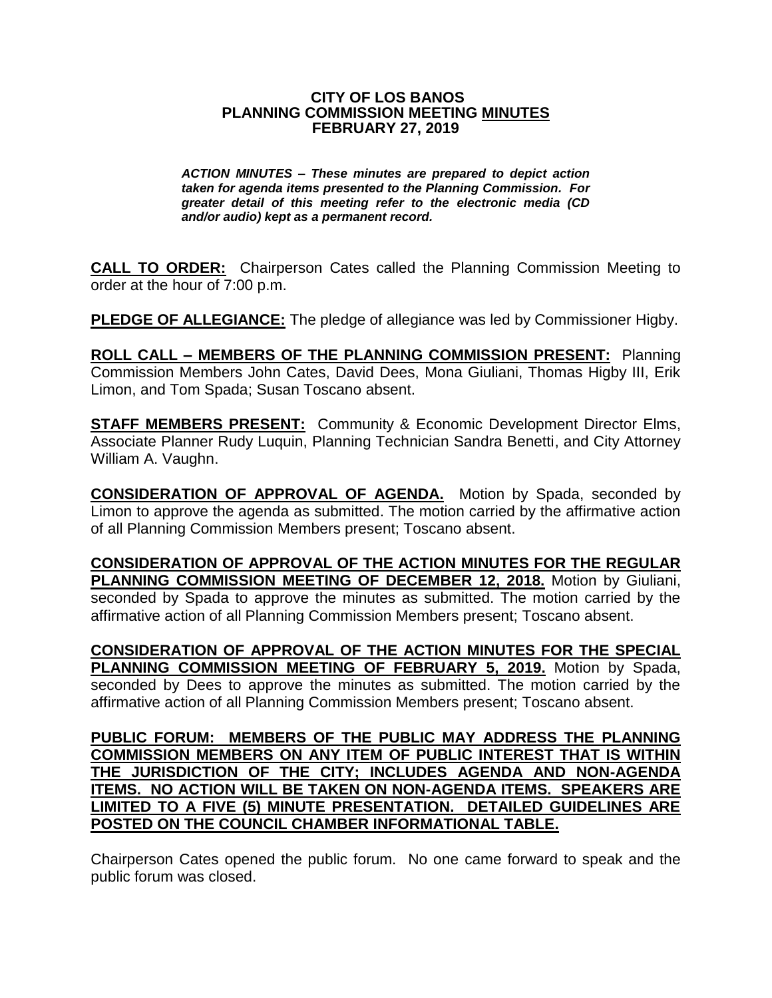#### **CITY OF LOS BANOS PLANNING COMMISSION MEETING MINUTES FEBRUARY 27, 2019**

*ACTION MINUTES – These minutes are prepared to depict action taken for agenda items presented to the Planning Commission. For greater detail of this meeting refer to the electronic media (CD and/or audio) kept as a permanent record.*

**CALL TO ORDER:** Chairperson Cates called the Planning Commission Meeting to order at the hour of 7:00 p.m.

**PLEDGE OF ALLEGIANCE:** The pledge of allegiance was led by Commissioner Higby.

**ROLL CALL – MEMBERS OF THE PLANNING COMMISSION PRESENT:** Planning Commission Members John Cates, David Dees, Mona Giuliani, Thomas Higby III, Erik Limon, and Tom Spada; Susan Toscano absent.

**STAFF MEMBERS PRESENT:** Community & Economic Development Director Elms, Associate Planner Rudy Luquin, Planning Technician Sandra Benetti, and City Attorney William A. Vaughn.

**CONSIDERATION OF APPROVAL OF AGENDA.** Motion by Spada, seconded by Limon to approve the agenda as submitted. The motion carried by the affirmative action of all Planning Commission Members present; Toscano absent.

**CONSIDERATION OF APPROVAL OF THE ACTION MINUTES FOR THE REGULAR PLANNING COMMISSION MEETING OF DECEMBER 12, 2018.** Motion by Giuliani, seconded by Spada to approve the minutes as submitted. The motion carried by the affirmative action of all Planning Commission Members present; Toscano absent.

**CONSIDERATION OF APPROVAL OF THE ACTION MINUTES FOR THE SPECIAL PLANNING COMMISSION MEETING OF FEBRUARY 5, 2019.** Motion by Spada, seconded by Dees to approve the minutes as submitted. The motion carried by the affirmative action of all Planning Commission Members present; Toscano absent.

**PUBLIC FORUM: MEMBERS OF THE PUBLIC MAY ADDRESS THE PLANNING COMMISSION MEMBERS ON ANY ITEM OF PUBLIC INTEREST THAT IS WITHIN THE JURISDICTION OF THE CITY; INCLUDES AGENDA AND NON-AGENDA ITEMS. NO ACTION WILL BE TAKEN ON NON-AGENDA ITEMS. SPEAKERS ARE LIMITED TO A FIVE (5) MINUTE PRESENTATION. DETAILED GUIDELINES ARE POSTED ON THE COUNCIL CHAMBER INFORMATIONAL TABLE.**

Chairperson Cates opened the public forum. No one came forward to speak and the public forum was closed.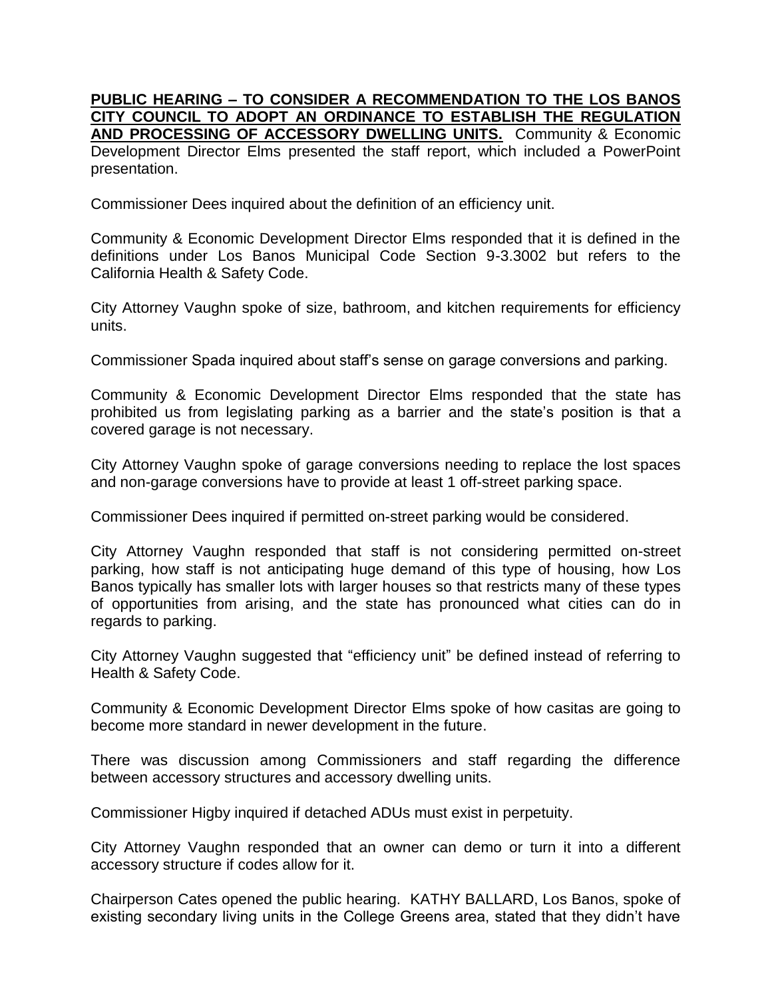**PUBLIC HEARING – TO CONSIDER A RECOMMENDATION TO THE LOS BANOS CITY COUNCIL TO ADOPT AN ORDINANCE TO ESTABLISH THE REGULATION AND PROCESSING OF ACCESSORY DWELLING UNITS.** Community & Economic Development Director Elms presented the staff report, which included a PowerPoint presentation.

Commissioner Dees inquired about the definition of an efficiency unit.

Community & Economic Development Director Elms responded that it is defined in the definitions under Los Banos Municipal Code Section 9-3.3002 but refers to the California Health & Safety Code.

City Attorney Vaughn spoke of size, bathroom, and kitchen requirements for efficiency units.

Commissioner Spada inquired about staff's sense on garage conversions and parking.

Community & Economic Development Director Elms responded that the state has prohibited us from legislating parking as a barrier and the state's position is that a covered garage is not necessary.

City Attorney Vaughn spoke of garage conversions needing to replace the lost spaces and non-garage conversions have to provide at least 1 off-street parking space.

Commissioner Dees inquired if permitted on-street parking would be considered.

City Attorney Vaughn responded that staff is not considering permitted on-street parking, how staff is not anticipating huge demand of this type of housing, how Los Banos typically has smaller lots with larger houses so that restricts many of these types of opportunities from arising, and the state has pronounced what cities can do in regards to parking.

City Attorney Vaughn suggested that "efficiency unit" be defined instead of referring to Health & Safety Code.

Community & Economic Development Director Elms spoke of how casitas are going to become more standard in newer development in the future.

There was discussion among Commissioners and staff regarding the difference between accessory structures and accessory dwelling units.

Commissioner Higby inquired if detached ADUs must exist in perpetuity.

City Attorney Vaughn responded that an owner can demo or turn it into a different accessory structure if codes allow for it.

Chairperson Cates opened the public hearing. KATHY BALLARD, Los Banos, spoke of existing secondary living units in the College Greens area, stated that they didn't have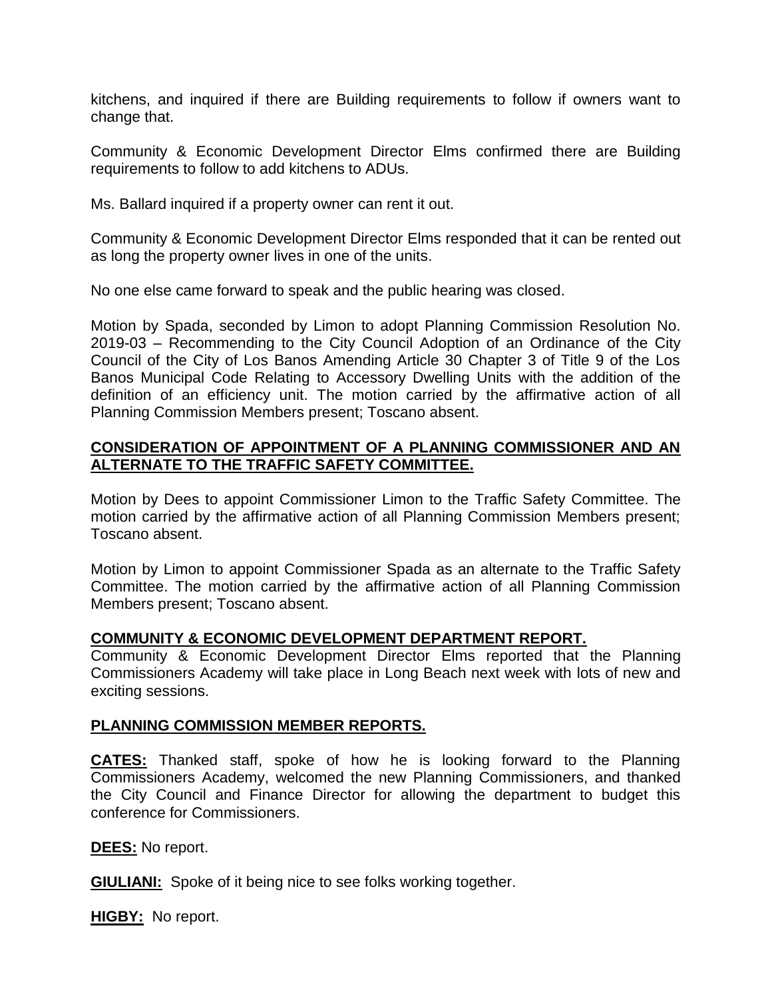kitchens, and inquired if there are Building requirements to follow if owners want to change that.

Community & Economic Development Director Elms confirmed there are Building requirements to follow to add kitchens to ADUs.

Ms. Ballard inquired if a property owner can rent it out.

Community & Economic Development Director Elms responded that it can be rented out as long the property owner lives in one of the units.

No one else came forward to speak and the public hearing was closed.

Motion by Spada, seconded by Limon to adopt Planning Commission Resolution No. 2019-03 – Recommending to the City Council Adoption of an Ordinance of the City Council of the City of Los Banos Amending Article 30 Chapter 3 of Title 9 of the Los Banos Municipal Code Relating to Accessory Dwelling Units with the addition of the definition of an efficiency unit. The motion carried by the affirmative action of all Planning Commission Members present; Toscano absent.

# **CONSIDERATION OF APPOINTMENT OF A PLANNING COMMISSIONER AND AN ALTERNATE TO THE TRAFFIC SAFETY COMMITTEE.**

Motion by Dees to appoint Commissioner Limon to the Traffic Safety Committee. The motion carried by the affirmative action of all Planning Commission Members present; Toscano absent.

Motion by Limon to appoint Commissioner Spada as an alternate to the Traffic Safety Committee. The motion carried by the affirmative action of all Planning Commission Members present; Toscano absent.

## **COMMUNITY & ECONOMIC DEVELOPMENT DEPARTMENT REPORT.**

Community & Economic Development Director Elms reported that the Planning Commissioners Academy will take place in Long Beach next week with lots of new and exciting sessions.

### **PLANNING COMMISSION MEMBER REPORTS.**

**CATES:** Thanked staff, spoke of how he is looking forward to the Planning Commissioners Academy, welcomed the new Planning Commissioners, and thanked the City Council and Finance Director for allowing the department to budget this conference for Commissioners.

### **DEES:** No report.

**GIULIANI:** Spoke of it being nice to see folks working together.

**HIGBY:** No report.